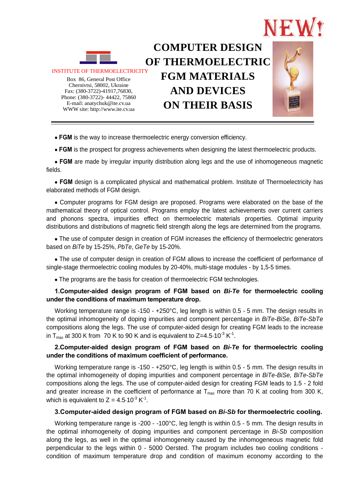



Box 86, General Post Office Fax : (380-3722)-41917,76830, Phone : (380-3722)- 44422, 75860 Chernivtsi, 58002, Ukraine E-mail: anatychuk@ite.cv.ua WWW site: http://www.ite.cv.ua

# **COMPUTER DESIGN OF THERMOELECTRIC FGM MATERIALS AND DEVICES ON THEIR BASIS**

 **FGM** is the way to increase thermoelectric energy conversion efficiency.

 **FGM** is the prospect for progress achievements when designing the latest thermoelectric products.

 **FGM** are made by irregular impurity distribution along legs and the use of inhomogeneous magnetic fields.

 **FGM** design is a complicated physical and mathematical problem. Institute of Thermoelectricity has elaborated methods of FGM design.

 Computer programs for FGM design are proposed. Programs were elaborated on the base of the mathematical theory of optical control. Programs employ the latest achievements over current carriers and phonons spectra, impurities effect on thermoelectric materials properties. Optimal impurity distributions and distributions of magnetic field strength along the legs are determined from the programs.

• The use of computer design in creation of FGM increases the efficiency of thermoelectric generators based on *BiTe* by 15-25%, *PbTe*, *GeTe* by 15-20%.

 The use of computer design in creation of FGM allows to increase the coefficient of performance of single-stage thermoelectric cooling modules by 20-40%, multi-stage modules - by 1,5-5 times.

The programs are the basis for creation of thermoelectric FGM technologies.

## **1.Computer-aided design program of FGM based on** *Bi-Te* **for thermoelectric cooling under the conditions of maximum temperature drop.**

Working temperature range is -150 - +250°C, leg length is within 0.5 - 5 mm. The design results in the optimal inhomogeneity of doping impurities and component percentage in *BiTe-BiSe, BiTe-SbTe*  compositions along the legs. The use of computer-aided design for creating FGM leads to the increase in  $T_{\text{max}}$  at 300 K from 70 K to 90 K and is equivalent to Z=4.5.10<sup>-3</sup> K<sup>-1</sup>.

## **2.Computer-aided design program of FGM based on** *Bi-Te* **for thermoelectric cooling under the conditions of maximum coefficient of performance.**

Working temperature range is -150 - +250°C, leg length is within 0.5 - 5 mm. The design results in the optimal inhomogeneity of doping impurities and component percentage in *BiTe-BiSe, BiTe-SbTe*  compositions along the legs. The use of computer-aided design for creating FGM leads to 1.5 - 2 fold and greater increase in the coefficient of performance at  $T_{max}$  more than 70 K at cooling from 300 K, which is equivalent to  $Z = 4.5 \cdot 10^{-3} K^{-1}$ .

#### **3.Computer-aided design program of FGM based on** *Bi-Sb* **for thermoelectric cooling.**

Working temperature range is -200 - -100°C, leg length is within 0.5 - 5 mm. The design results in the optimal inhomogeneity of doping impurities and component percentage in *Bi-Sb* composition along the legs, as well in the optimal inhomogeneity caused by the inhomogeneous magnetic fold perpendicular to the legs within 0 - 5000 Oersted. The program includes two cooling conditions condition of maximum temperature drop and condition of maximum economy according to the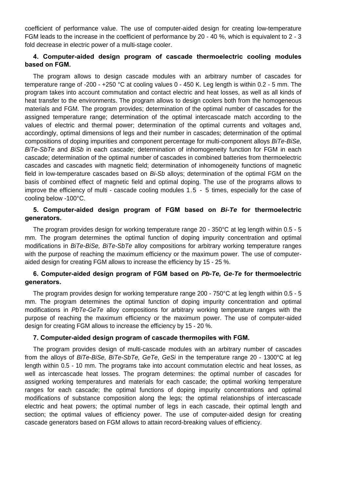coefficient of performance value. The use of computer-aided design for creating low-temperature FGM leads to the increase in the coefficient of performance by 20 - 40 %, which is equivalent to 2 - 3 fold decrease in electric power of a multi-stage cooler.

## **4. Computer-aided design program of cascade thermoelectric cooling modules based on FGM.**

The program allows to design cascade modules with an arbitrary number of cascades for temperature range of -200 - +250 °C at cooling values 0 - 450 K. Leg length is within 0.2 - 5 mm. The program takes into account commutation and contact electric and heat losses, as well as all kinds of heat transfer to the environments. The program allows to design coolers both from the homogeneous materials and FGM. The program provides; determination of the optimal number of cascades for the assigned temperature range; determination of the optimal intercascade match according to the values of electric and thermal power; determination of the optimal currents and voltages and, accordingly, optimal dimensions of legs and their number in cascades; determination of the optimal compositions of doping impurities and component percentage for multi-component alloys *BiTe-BiSe, BiTe-SbTe* and *BiSb* in each cascade; determination of inhomogeneity function for FGM in each cascade; determination of the optimal number of cascades in combined batteries from thermoelectric cascades and cascades with magnetic field; determination of inhomogeneity functions of magnetic field in low-temperature cascades based on *Bi-Sb* alloys; determination of the optimal FGM on the basis of combined effect of magnetic field and optimal doping. The use of the programs allows to improve the efficiency of multi - cascade cooling modules 1.5 - 5 times, especially for the case of cooling below -100°C.

## **5. Computer-aided design program of FGM based on** *Bi-Te* **for thermoelectric generators.**

The program provides design for working temperature range 20 - 350°C at leg length within 0.5 - 5 mm. The program determines the optimal function of doping impurity concentration and optimal modifications in *BiTe-BiSe, BiTe-SbTe* alloy compositions for arbitrary working temperature ranges with the purpose of reaching the maximum efficiency or the maximum power. The use of computeraided design for creating FGM allows to increase the efficiency by 15 - 25 %.

## **6. Computer-aided design program of FGM based on** *Pb-Te, Ge-Te* **for thermoelectric generators.**

The program provides design for working temperature range 200 - 750°C at leg length within 0.5 - 5 mm. The program determines the optimal function of doping impurity concentration and optimal modifications in *PbTe-GeTe* alloy compositions for arbitrary working temperature ranges with the purpose of reaching the maximum efficiency or the maximum power. The use of computer-aided design for creating FGM allows to increase the efficiency by 15 - 20 %.

#### **7. Computer-aided design program of cascade thermopiles with FGM.**

The program provides design of multi-cascade modules with an arbitrary number of cascades from the alloys of *BiTe-BiSe, BiTe-SbTe, GeTe, GeSi* in the temperature range 20 - 1300°C at leg length within 0.5 - 10 mm. The programs take into account commutation electric and heat losses, as well as intercascade heat losses. The program determines: the optimal number of cascades for assigned working temperatures and materials for each cascade; the optimal working temperature ranges for each cascade; the optimal functions of doping impurity concentrations and optimal modifications of substance composition along the legs; the optimal relationships of intercascade electric and heat powers; the optimal number of legs in each cascade, their optimal length and section; the optimal values of efficiency power. The use of computer-aided design for creating cascade generators based on FGM allows to attain record-breaking values of efficiency.